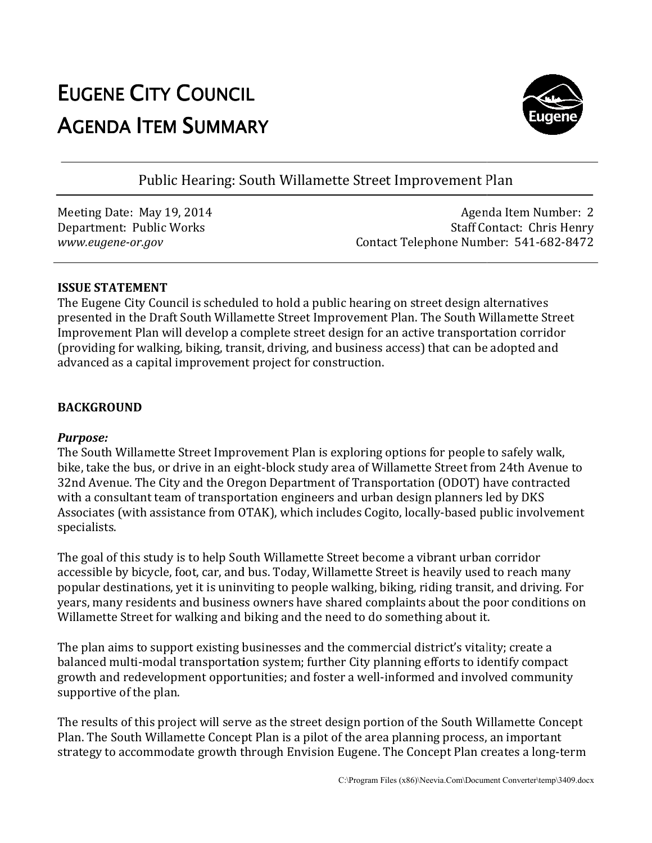# EUGENE CITY COUNCIL AGENDA ITEM SUMMARY



Public Hearing: South Willamette Street Improvement Plan

Meeting Date: May 19, 2014 Department: Public Works *www.eugene-or.gov*

Agenda Item Number: 2 Staff Contact: Chris Henry Contact Telephone Number: 541-682-8472

#### **ISSUE STATEMENT**

The Eugene City Council is scheduled to hold a public hearing on street design alternatives The Eugene City Council is scheduled to hold a public hearing on street design alternatives<br>presented in the Draft South Willamette Street Improvement Plan. The South Willamette Street Improvement Plan will develop a complete street design for an active transportation corridor Improvement Plan will develop a complete street design for an active transportation corrido:<br>(providing for walking, biking, transit, driving, and business access) that can be adopted and advanced as a capital improvement project for construction.

# **BACKGROUND**

# *Purpose:*

The South Willamette Street Improvement Plan is exploring options for people to safely walk, The South Willamette Street Improvement Plan is exploring options for people to safely walk,<br>bike, take the bus, or drive in an eight-block study area of Willamette Street from 24th Avenue to 32nd Avenue. The City and the Oregon Department of Transportation (ODOT) have contracted with a consultant team of transportation engineers and urban design planners led by DKS with a consultant team of transportation engineers and urban design planners led by DKS<br>Associates (with assistance from OTAK), which includes Cogito, locally-based public involvement specialists. block study area of Willamette Street from 24th Avenue to<br>
Department of Transportation (ODOT) have contracted<br>
on engineers and urban design planners led by DKS<br>
K), which includes Cogito, locally-based public involvement

The goal of this study is to help South Willamette Street become a vibrant urban corridor accessible by bicycle, foot, car, and bus. Today, Willamette Street is heavily used to reach many popular destinations, yet it is uninviting to people walking, biking, riding transit, and driving. For years, many residents and business owners have shared complaints about the poor conditions on Willamette Street for walking and biking and the need to do something about it. years, many residents and business owners have shared complaints about the poor conditio<br>Willamette Street for walking and biking and the need to do something about it.<br>The plan aims to support existing businesses and the of this study is to help South Willamette Street become a vibrant urban of the by bicycle, foot, car, and bus. Today, Willamette Street is heavily used the stinations, yet it is uninviting to people walking, biking, riding

balanced multi-modal transportation system; further City planning efforts to identify compact growth and redevelopment opportunities; and foster a well-informed and involved community supportive of the plan.

The results of this project will serve as the street design portion of the South Willamette Concept Plan. The South Willamette Concept Plan is a pilot of the area planning process, an important growth and redevelopment opportunities; and foster a well-informed and involved community<br>supportive of the plan.<br>The results of this project will serve as the street design portion of the South Willamette Concept<br>Plan. Th will serve as the street design portion of the South Willamett<br>e Concept Plan is a pilot of the area planning process, an impc<br>growth through Envision Eugene. The Concept Plan creates a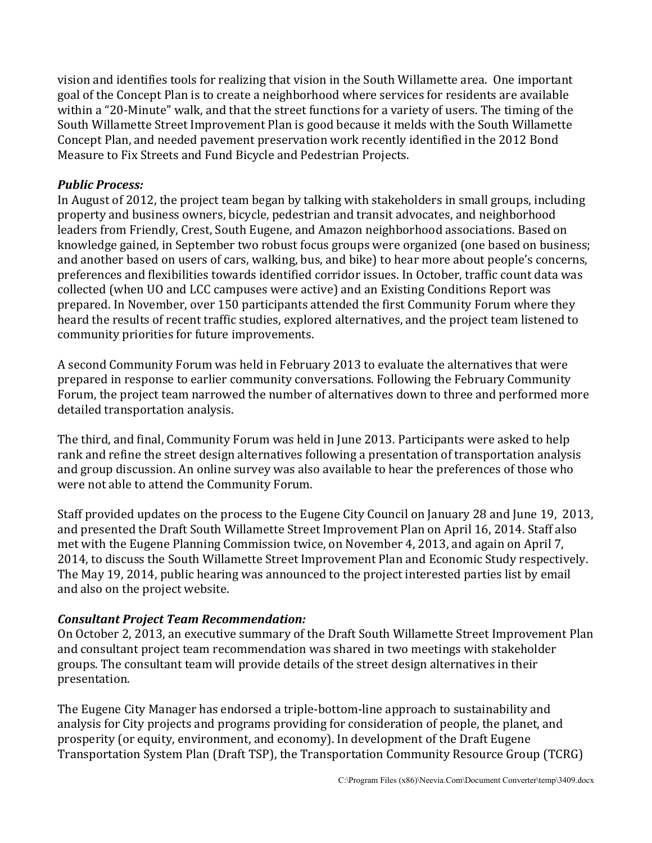vision and identifies tools for realizing that vision in the South Willamette area. One important goal of the Concept Plan is to create a neighborhood where services for residents are available within a "20-Minute" walk, and that the street functions for a variety of users. The timing of the South Willamette Street Improvement Plan is good because it melds with the South Willamette Concept Plan, and needed pavement preservation work recently identified in the 2012 Bond Measure to Fix Streets and Fund Bicycle and Pedestrian Projects.

#### *Public Process:*

In August of 2012, the project team began by talking with stakeholders in small groups, including property and business owners, bicycle, pedestrian and transit advocates, and neighborhood leaders from Friendly, Crest, South Eugene, and Amazon neighborhood associations. Based on knowledge gained, in September two robust focus groups were organized (one based on business; and another based on users of cars, walking, bus, and bike) to hear more about people's concerns, preferences and flexibilities towards identified corridor issues. In October, traffic count data was collected (when UO and LCC campuses were active) and an Existing Conditions Report was prepared. In November, over 150 participants attended the first Community Forum where they heard the results of recent traffic studies, explored alternatives, and the project team listened to community priorities for future improvements.

A second Community Forum was held in February 2013 to evaluate the alternatives that were prepared in response to earlier community conversations. Following the February Community Forum, the project team narrowed the number of alternatives down to three and performed more detailed transportation analysis.

The third, and final, Community Forum was held in June 2013. Participants were asked to help rank and refine the street design alternatives following a presentation of transportation analysis and group discussion. An online survey was also available to hear the preferences of those who were not able to attend the Community Forum.

Staff provided updates on the process to the Eugene City Council on January 28 and June 19, 2013, and presented the Draft South Willamette Street Improvement Plan on April 16, 2014. Staff also met with the Eugene Planning Commission twice, on November 4, 2013, and again on April 7, 2014, to discuss the South Willamette Street Improvement Plan and Economic Study respectively. The May 19, 2014, public hearing was announced to the project interested parties list by email and also on the project website.

# *Consultant Project Team Recommendation:*

On October 2, 2013, an executive summary of the Draft South Willamette Street Improvement Plan and consultant project team recommendation was shared in two meetings with stakeholder groups. The consultant team will provide details of the street design alternatives in their presentation.

The Eugene City Manager has endorsed a triple-bottom-line approach to sustainability and analysis for City projects and programs providing for consideration of people, the planet, and prosperity (or equity, environment, and economy). In development of the Draft Eugene Transportation System Plan (Draft TSP), the Transportation Community Resource Group (TCRG)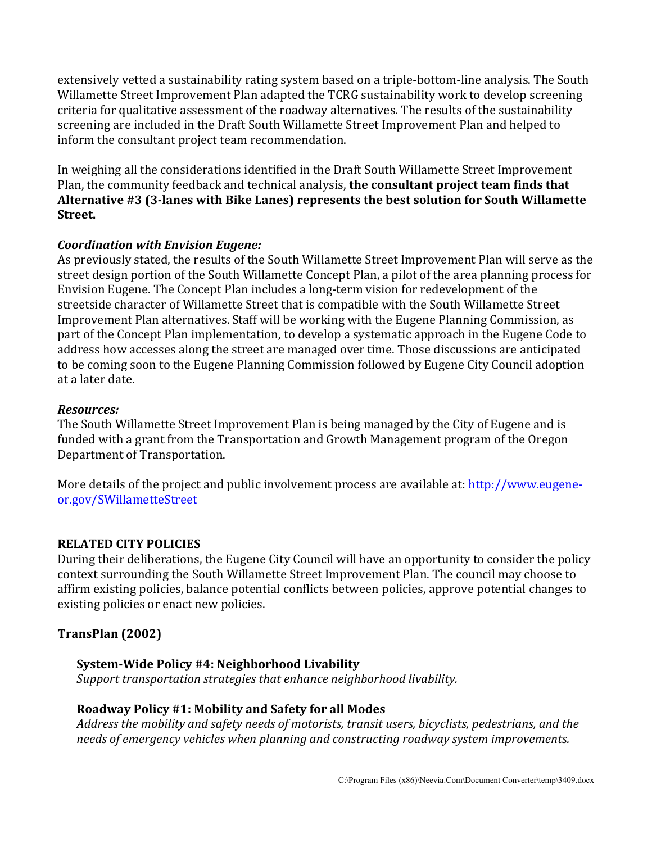extensively vetted a sustainability rating system based on a triple-bottom-line analysis. The South Willamette Street Improvement Plan adapted the TCRG sustainability work to develop screening criteria for qualitative assessment of the roadway alternatives. The results of the sustainability screening are included in the Draft South Willamette Street Improvement Plan and helped to inform the consultant project team recommendation.

In weighing all the considerations identified in the Draft South Willamette Street Improvement Plan, the community feedback and technical analysis, **the consultant project team finds that Alternative #3 (3‐lanes with Bike Lanes) represents the best solution for South Willamette Street.**

#### *Coordination with Envision Eugene:*

As previously stated, the results of the South Willamette Street Improvement Plan will serve as the street design portion of the South Willamette Concept Plan, a pilot of the area planning process for Envision Eugene. The Concept Plan includes a long-term vision for redevelopment of the streetside character of Willamette Street that is compatible with the South Willamette Street Improvement Plan alternatives. Staff will be working with the Eugene Planning Commission, as part of the Concept Plan implementation, to develop a systematic approach in the Eugene Code to address how accesses along the street are managed over time. Those discussions are anticipated to be coming soon to the Eugene Planning Commission followed by Eugene City Council adoption at a later date.

#### *Resources:*

The South Willamette Street Improvement Plan is being managed by the City of Eugene and is funded with a grant from the Transportation and Growth Management program of the Oregon Department of Transportation.

More details of the project and public involvement process are available at: [http://www.eugene](http://www.eugene-or.gov/SWillametteStreet)[or.gov/SWillametteStreet](http://www.eugene-or.gov/SWillametteStreet)

#### **RELATED CITY POLICIES**

During their deliberations, the Eugene City Council will have an opportunity to consider the policy context surrounding the South Willamette Street Improvement Plan. The council may choose to affirm existing policies, balance potential conflicts between policies, approve potential changes to existing policies or enact new policies.

# **TransPlan (2002)**

#### **System‐Wide Policy #4: Neighborhood Livability**

*Support transportation strategies that enhance neighborhood livability.*

#### **Roadway Policy #1: Mobility and Safety for all Modes**

*Address the mobility and safety needs of motorists, transit users, bicyclists, pedestrians, and the needs of emergency vehicles when planning and constructing roadway system improvements.*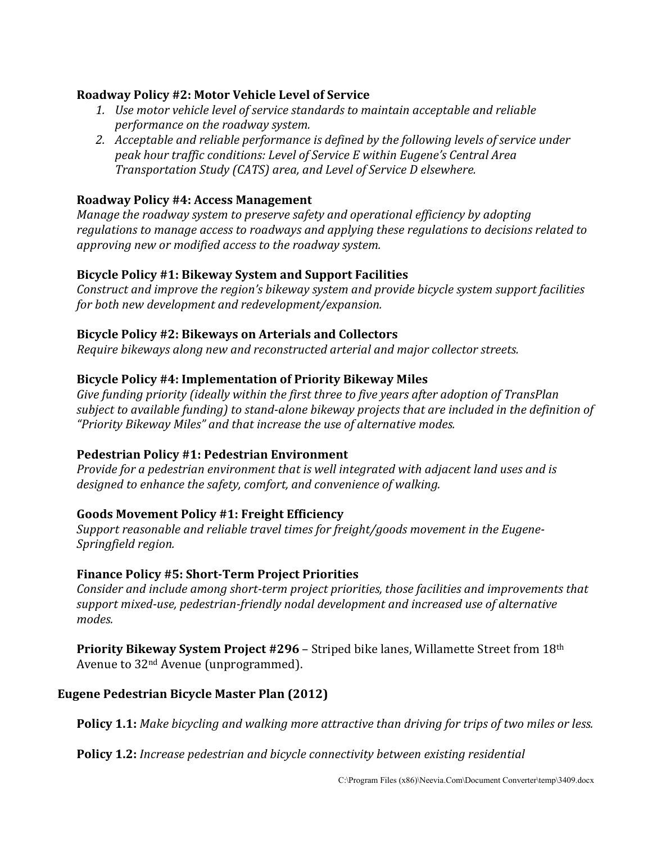#### **Roadway Policy #2: Motor Vehicle Level of Service**

- *1. Use motor vehicle level of service standards to maintain acceptable and reliable performance on the roadway system.*
- *2. Acceptable and reliable performance is defined by the following levels of service under peak hour traffic conditions: Level of Service E within Eugene's Central Area Transportation Study (CATS) area, and Level of Service D elsewhere.*

### **Roadway Policy #4: Access Management**

*Manage the roadway system to preserve safety and operational efficiency by adopting regulations to manage access to roadways and applying these regulations to decisions related to approving new or modified access to the roadway system.* 

# **Bicycle Policy #1: Bikeway System and Support Facilities**

*Construct and improve the region's bikeway system and provide bicycle system support facilities for both new development and redevelopment/expansion.* 

#### **Bicycle Policy #2: Bikeways on Arterials and Collectors**

*Require bikeways along new and reconstructed arterial and major collector streets.* 

#### **Bicycle Policy #4: Implementation of Priority Bikeway Miles**

*Give funding priority (ideally within the first three to five years after adoption of TransPlan subject to available funding) to stand-alone bikeway projects that are included in the definition of "Priority Bikeway Miles" and that increase the use of alternative modes.* 

#### **Pedestrian Policy #1: Pedestrian Environment**

*Provide for a pedestrian environment that is well integrated with adjacent land uses and is designed to enhance the safety, comfort, and convenience of walking.* 

# **Goods Movement Policy #1: Freight Efficiency**

*Support reasonable and reliable travel times for freight/goods movement in the Eugene-Springfield region.* 

# **Finance Policy #5: Short‐Term Project Priorities**

*Consider and include among short-term project priorities, those facilities and improvements that support mixed-use, pedestrian-friendly nodal development and increased use of alternative modes.* 

**Priority Bikeway System Project #296** – Striped bike lanes, Willamette Street from 18th Avenue to 32nd Avenue (unprogrammed).

# **Eugene Pedestrian Bicycle Master Plan (2012)**

**Policy 1.1:** *Make bicycling and walking more attractive than driving for trips of two miles or less.* 

**Policy 1.2:** *Increase pedestrian and bicycle connectivity between existing residential*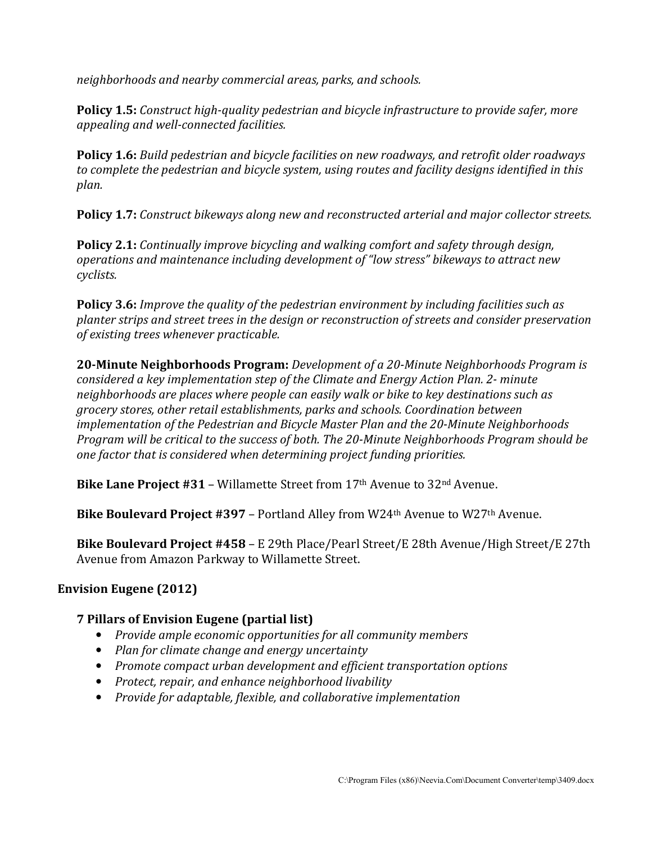*neighborhoods and nearby commercial areas, parks, and schools.* 

**Policy 1.5:** *Construct high-quality pedestrian and bicycle infrastructure to provide safer, more appealing and well-connected facilities.* 

**Policy 1.6:** *Build pedestrian and bicycle facilities on new roadways, and retrofit older roadways to complete the pedestrian and bicycle system, using routes and facility designs identified in this plan.* 

**Policy 1.7:** *Construct bikeways along new and reconstructed arterial and major collector streets.* 

**Policy 2.1:** *Continually improve bicycling and walking comfort and safety through design, operations and maintenance including development of "low stress" bikeways to attract new cyclists.* 

**Policy 3.6:** *Improve the quality of the pedestrian environment by including facilities such as planter strips and street trees in the design or reconstruction of streets and consider preservation of existing trees whenever practicable.* 

**20‐Minute Neighborhoods Program:** *Development of a 20-Minute Neighborhoods Program is considered a key implementation step of the Climate and Energy Action Plan. 2- minute neighborhoods are places where people can easily walk or bike to key destinations such as grocery stores, other retail establishments, parks and schools. Coordination between implementation of the Pedestrian and Bicycle Master Plan and the 20-Minute Neighborhoods Program will be critical to the success of both. The 20-Minute Neighborhoods Program should be one factor that is considered when determining project funding priorities.* 

**Bike Lane Project #31** – Willamette Street from 17th Avenue to 32nd Avenue.

**Bike Boulevard Project #397** – Portland Alley from W24th Avenue to W27th Avenue.

**Bike Boulevard Project #458** – E 29th Place/Pearl Street/E 28th Avenue/High Street/E 27th Avenue from Amazon Parkway to Willamette Street.

# **Envision Eugene (2012)**

# **7 Pillars of Envision Eugene (partial list)**

- *Provide ample economic opportunities for all community members*
- *Plan for climate change and energy uncertainty*
- *Promote compact urban development and efficient transportation options*
- *Protect, repair, and enhance neighborhood livability*
- *Provide for adaptable, flexible, and collaborative implementation*